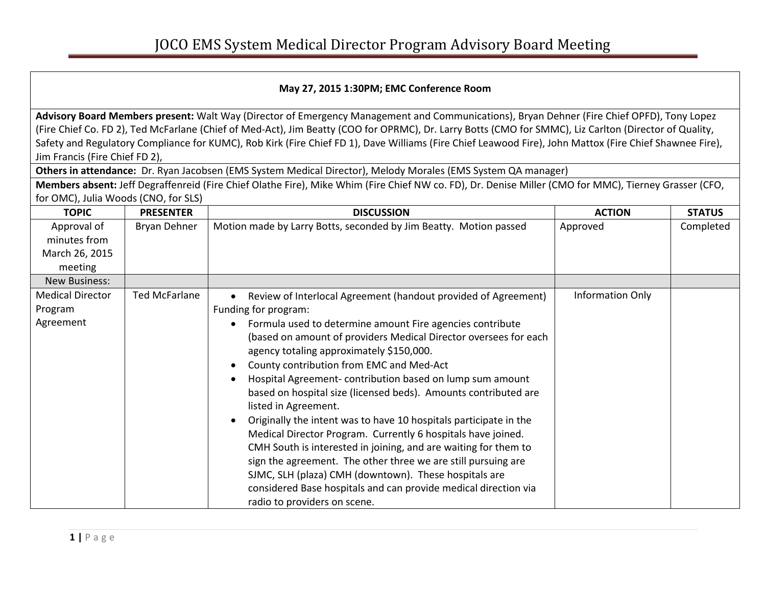## **May 27, 2015 1:30PM; EMC Conference Room**

**Advisory Board Members present:** Walt Way (Director of Emergency Management and Communications), Bryan Dehner (Fire Chief OPFD), Tony Lopez (Fire Chief Co. FD 2), Ted McFarlane (Chief of Med-Act), Jim Beatty (COO for OPRMC), Dr. Larry Botts (CMO for SMMC), Liz Carlton (Director of Quality, Safety and Regulatory Compliance for KUMC), Rob Kirk (Fire Chief FD 1), Dave Williams (Fire Chief Leawood Fire), John Mattox (Fire Chief Shawnee Fire), Jim Francis (Fire Chief FD 2),

**Others in attendance:** Dr. Ryan Jacobsen (EMS System Medical Director), Melody Morales (EMS System QA manager)

**Members absent:** Jeff Degraffenreid (Fire Chief Olathe Fire), Mike Whim (Fire Chief NW co. FD), Dr. Denise Miller (CMO for MMC), Tierney Grasser (CFO, for OMC), Julia Woods (CNO, for SLS)

| <b>TOPIC</b>                                             | <b>PRESENTER</b>     | <b>DISCUSSION</b>                                                                                                                                                                                                                                                                                                                                                                                                                                                                                                                                                                                                                                                                                                                                                                                                                                                                                                        | <b>ACTION</b>    | <b>STATUS</b> |
|----------------------------------------------------------|----------------------|--------------------------------------------------------------------------------------------------------------------------------------------------------------------------------------------------------------------------------------------------------------------------------------------------------------------------------------------------------------------------------------------------------------------------------------------------------------------------------------------------------------------------------------------------------------------------------------------------------------------------------------------------------------------------------------------------------------------------------------------------------------------------------------------------------------------------------------------------------------------------------------------------------------------------|------------------|---------------|
| Approval of<br>minutes from<br>March 26, 2015<br>meeting | <b>Bryan Dehner</b>  | Motion made by Larry Botts, seconded by Jim Beatty. Motion passed                                                                                                                                                                                                                                                                                                                                                                                                                                                                                                                                                                                                                                                                                                                                                                                                                                                        | Approved         | Completed     |
| <b>New Business:</b>                                     |                      |                                                                                                                                                                                                                                                                                                                                                                                                                                                                                                                                                                                                                                                                                                                                                                                                                                                                                                                          |                  |               |
| <b>Medical Director</b><br>Program<br>Agreement          | <b>Ted McFarlane</b> | Review of Interlocal Agreement (handout provided of Agreement)<br>Funding for program:<br>Formula used to determine amount Fire agencies contribute<br>$\bullet$<br>(based on amount of providers Medical Director oversees for each<br>agency totaling approximately \$150,000.<br>County contribution from EMC and Med-Act<br>Hospital Agreement-contribution based on lump sum amount<br>based on hospital size (licensed beds). Amounts contributed are<br>listed in Agreement.<br>Originally the intent was to have 10 hospitals participate in the<br>Medical Director Program. Currently 6 hospitals have joined.<br>CMH South is interested in joining, and are waiting for them to<br>sign the agreement. The other three we are still pursuing are<br>SJMC, SLH (plaza) CMH (downtown). These hospitals are<br>considered Base hospitals and can provide medical direction via<br>radio to providers on scene. | Information Only |               |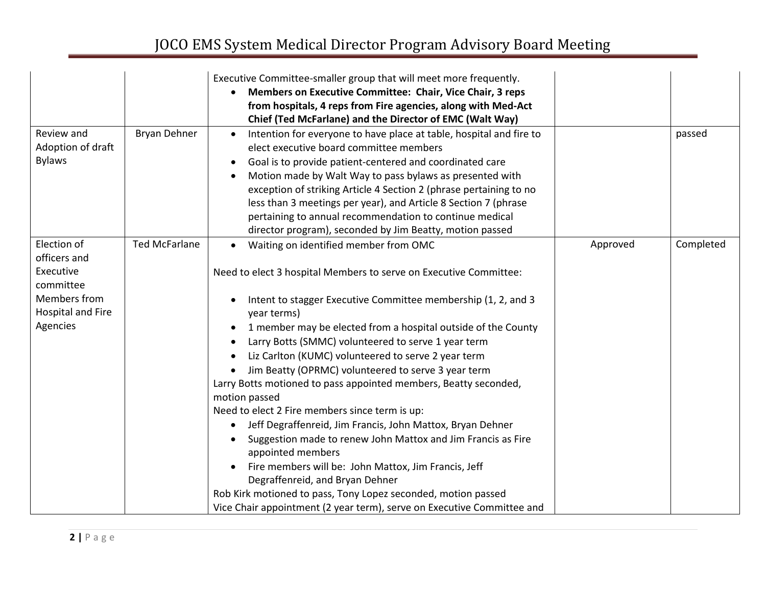## JOCO EMS System Medical Director Program Advisory Board Meeting

|                                                                                                               |                      | Executive Committee-smaller group that will meet more frequently.<br>Members on Executive Committee: Chair, Vice Chair, 3 reps<br>from hospitals, 4 reps from Fire agencies, along with Med-Act<br>Chief (Ted McFarlane) and the Director of EMC (Walt Way)                                                                                                                                                                                                                                                                                                                                                                                                                               |          |           |
|---------------------------------------------------------------------------------------------------------------|----------------------|-------------------------------------------------------------------------------------------------------------------------------------------------------------------------------------------------------------------------------------------------------------------------------------------------------------------------------------------------------------------------------------------------------------------------------------------------------------------------------------------------------------------------------------------------------------------------------------------------------------------------------------------------------------------------------------------|----------|-----------|
| Review and<br>Adoption of draft<br><b>Bylaws</b>                                                              | Bryan Dehner         | Intention for everyone to have place at table, hospital and fire to<br>elect executive board committee members<br>Goal is to provide patient-centered and coordinated care<br>$\bullet$<br>Motion made by Walt Way to pass bylaws as presented with<br>exception of striking Article 4 Section 2 (phrase pertaining to no<br>less than 3 meetings per year), and Article 8 Section 7 (phrase<br>pertaining to annual recommendation to continue medical<br>director program), seconded by Jim Beatty, motion passed                                                                                                                                                                       |          | passed    |
| Election of<br>officers and<br>Executive<br>committee<br>Members from<br><b>Hospital and Fire</b><br>Agencies | <b>Ted McFarlane</b> | Waiting on identified member from OMC<br>$\bullet$<br>Need to elect 3 hospital Members to serve on Executive Committee:<br>Intent to stagger Executive Committee membership (1, 2, and 3<br>$\bullet$<br>year terms)<br>1 member may be elected from a hospital outside of the County<br>$\bullet$<br>Larry Botts (SMMC) volunteered to serve 1 year term<br>Liz Carlton (KUMC) volunteered to serve 2 year term<br>Jim Beatty (OPRMC) volunteered to serve 3 year term<br>Larry Botts motioned to pass appointed members, Beatty seconded,<br>motion passed<br>Need to elect 2 Fire members since term is up:<br>Jeff Degraffenreid, Jim Francis, John Mattox, Bryan Dehner<br>$\bullet$ | Approved | Completed |
|                                                                                                               |                      | Suggestion made to renew John Mattox and Jim Francis as Fire<br>appointed members<br>Fire members will be: John Mattox, Jim Francis, Jeff<br>$\bullet$<br>Degraffenreid, and Bryan Dehner<br>Rob Kirk motioned to pass, Tony Lopez seconded, motion passed<br>Vice Chair appointment (2 year term), serve on Executive Committee and                                                                                                                                                                                                                                                                                                                                                      |          |           |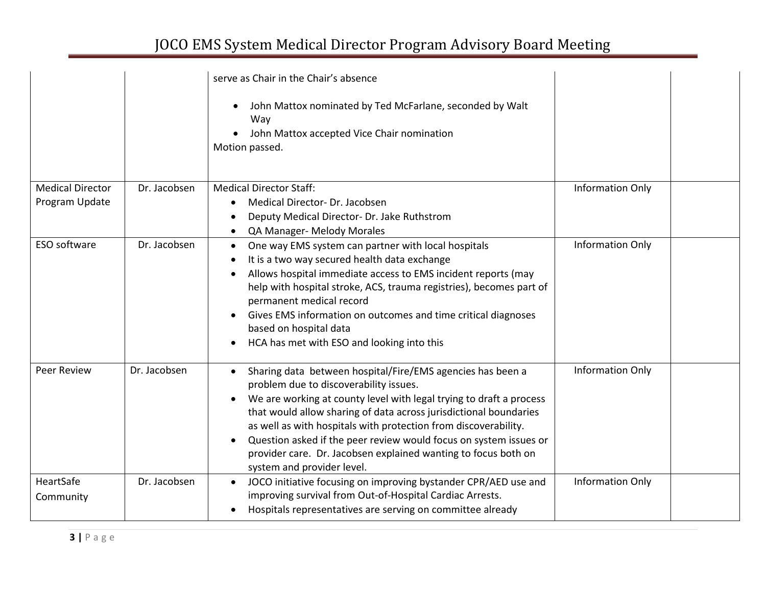## JOCO EMS System Medical Director Program Advisory Board Meeting

|                                           |              | serve as Chair in the Chair's absence<br>John Mattox nominated by Ted McFarlane, seconded by Walt<br>$\bullet$<br>Way<br>John Mattox accepted Vice Chair nomination<br>Motion passed.                                                                                                                                                                                                                                                                                                                              |                         |  |
|-------------------------------------------|--------------|--------------------------------------------------------------------------------------------------------------------------------------------------------------------------------------------------------------------------------------------------------------------------------------------------------------------------------------------------------------------------------------------------------------------------------------------------------------------------------------------------------------------|-------------------------|--|
| <b>Medical Director</b><br>Program Update | Dr. Jacobsen | <b>Medical Director Staff:</b><br>Medical Director- Dr. Jacobsen<br>$\bullet$<br>Deputy Medical Director- Dr. Jake Ruthstrom<br>$\bullet$<br>QA Manager- Melody Morales                                                                                                                                                                                                                                                                                                                                            | Information Only        |  |
| ESO software                              | Dr. Jacobsen | One way EMS system can partner with local hospitals<br>$\bullet$<br>It is a two way secured health data exchange<br>Allows hospital immediate access to EMS incident reports (may<br>help with hospital stroke, ACS, trauma registries), becomes part of<br>permanent medical record<br>Gives EMS information on outcomes and time critical diagnoses<br>based on hospital data<br>HCA has met with ESO and looking into this<br>$\bullet$                                                                         | Information Only        |  |
| <b>Peer Review</b>                        | Dr. Jacobsen | Sharing data between hospital/Fire/EMS agencies has been a<br>problem due to discoverability issues.<br>We are working at county level with legal trying to draft a process<br>$\bullet$<br>that would allow sharing of data across jurisdictional boundaries<br>as well as with hospitals with protection from discoverability.<br>Question asked if the peer review would focus on system issues or<br>$\bullet$<br>provider care. Dr. Jacobsen explained wanting to focus both on<br>system and provider level. | <b>Information Only</b> |  |
| HeartSafe<br>Community                    | Dr. Jacobsen | JOCO initiative focusing on improving bystander CPR/AED use and<br>$\bullet$<br>improving survival from Out-of-Hospital Cardiac Arrests.<br>Hospitals representatives are serving on committee already                                                                                                                                                                                                                                                                                                             | Information Only        |  |